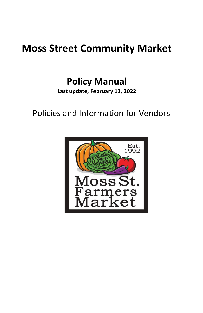# **Moss Street Community Market**

## **Policy Manual**

**Last update, February 13, 2022** 

Policies and Information for Vendors

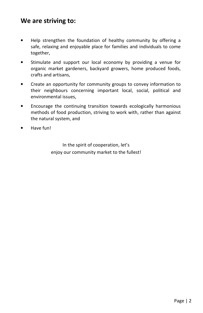## **We are striving to:**

- Help strengthen the foundation of healthy community by offering a safe, relaxing and enjoyable place for families and individuals to come together,
- Stimulate and support our local economy by providing a venue for organic market gardeners, backyard growers, home produced foods, crafts and artisans,
- Create an opportunity for community groups to convey information to their neighbours concerning important local, social, political and environmental issues,
- Encourage the continuing transition towards ecologically harmonious methods of food production, striving to work with, rather than against the natural system, and
- Have fun!

In the spirit of cooperation, let's enjoy our community market to the fullest!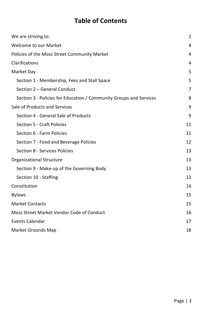## **Table of Contents**

| We are striving to:                                                |    |  |
|--------------------------------------------------------------------|----|--|
| <b>Welcome to our Market</b>                                       |    |  |
| Policies of the Moss Street Community Market                       |    |  |
| Clarifications                                                     |    |  |
| Market Day                                                         |    |  |
| Section 1 - Membership, Fees and Stall Space                       | 5  |  |
| Section 2 - General Conduct                                        | 7  |  |
| Section 3 - Policies for Education / Community Groups and Services | 8  |  |
| Sale of Products and Services                                      |    |  |
| Section 4 - General Sale of Products                               | 9  |  |
| Section 5 - Craft Policies                                         | 11 |  |
| Section 6 - Farm Policies                                          | 11 |  |
| Section 7 - Food and Beverage Policies                             | 12 |  |
| Section 8 - Services Policies                                      | 13 |  |
| Organizational Structure                                           |    |  |
| Section 9 - Make-up of the Governing Body                          | 13 |  |
| Section 10 - Staffing                                              | 13 |  |
| Constitution                                                       |    |  |
| <b>Bylaws</b>                                                      | 15 |  |
| <b>Market Contacts</b>                                             |    |  |
| Moss Street Market Vendor Code of Conduct                          |    |  |
| <b>Events Calendar</b>                                             |    |  |
| Market Grounds Map                                                 |    |  |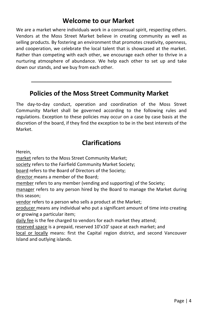## **Welcome to our Market**

We are a market where individuals work in a consensual spirit, respecting others. Vendors at the Moss Street Market believe in creating community as well as selling products. By fostering an environment that promotes creativity, openness, and cooperation, we celebrate the local talent that is showcased at the market. Rather than competing with each other, we encourage each other to thrive in a nurturing atmosphere of abundance. We help each other to set up and take down our stands, and we buy from each other.

### **Policies of the Moss Street Community Market**

 $\mathcal{L}_\text{max} = \mathcal{L}_\text{max} = \mathcal{L}_\text{max} = \mathcal{L}_\text{max} = \mathcal{L}_\text{max} = \mathcal{L}_\text{max} = \mathcal{L}_\text{max} = \mathcal{L}_\text{max} = \mathcal{L}_\text{max} = \mathcal{L}_\text{max} = \mathcal{L}_\text{max} = \mathcal{L}_\text{max} = \mathcal{L}_\text{max} = \mathcal{L}_\text{max} = \mathcal{L}_\text{max} = \mathcal{L}_\text{max} = \mathcal{L}_\text{max} = \mathcal{L}_\text{max} = \mathcal{$ 

The day-to-day conduct, operation and coordination of the Moss Street Community Market shall be governed according to the following rules and regulations. Exception to these policies may occur on a case by case basis at the discretion of the board, if they find the exception to be in the best interests of the Market.

## **Clarifications**

Herein,

market refers to the Moss Street Community Market;

society refers to the Fairfield Community Market Society;

board refers to the Board of Directors of the Society;

director means a member of the Board:

member refers to any member (vending and supporting) of the Society;

manager refers to any person hired by the Board to manage the Market during this season;

vendor refers to a person who sells a product at the Market;

producer means any individual who put a significant amount of time into creating or growing a particular item;

daily fee is the fee charged to vendors for each market they attend;

reserved space is a prepaid, reserved 10'x10' space at each market; and

local or locally means: first the Capital region district, and second Vancouver Island and outlying islands.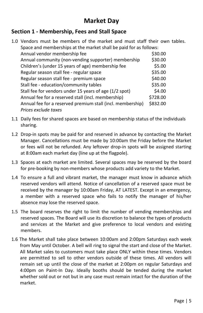## **Market Day**

#### **Section 1 - Membership, Fees and Stall Space**

| 1.0 Vendors must be members of the market and must staff their own tables. |          |  |  |
|----------------------------------------------------------------------------|----------|--|--|
| Space and memberships at the market shall be paid for as follows:          |          |  |  |
| Annual vendor membership fee                                               | \$30.00  |  |  |
| Annual community (non-vending supporter) membership                        | \$30.00  |  |  |
| Children's (under 15 years of age) membership fee                          | \$5.00   |  |  |
| Regular season stall fee - regular space                                   | \$35.00  |  |  |
| Regular season stall fee - premium space                                   | \$40.00  |  |  |
| Stall fee - education/community tables                                     | \$35.00  |  |  |
| Stall fee for vendors under 15 years of age (1/2 spot)                     | \$4.00   |  |  |
| Annual fee for a reserved stall (incl. membership)                         | \$728.00 |  |  |
| Annual fee for a reserved premium stall (incl. membership)                 | \$832.00 |  |  |
| Prices exclude taxes                                                       |          |  |  |

- 1.1 Daily fees for shared spaces are based on membership status of the individuals sharing.
- 1.2 Drop-in spots may be paid for and reserved in advance by contacting the Market Manager. Cancellations must be made by 10:00am the Friday before the Market or fees will not be refunded. Any leftover drop-in spots will be assigned starting at 8:00am each market day (line up at the flagpole).
- 1.3 Spaces at each market are limited. Several spaces may be reserved by the board for pre-booking by non-members whose products add variety to the Market.
- 1.4 To ensure a full and vibrant market, the manager must know in advance which reserved vendors will attend. Notice of cancellation of a reserved space must be received by the manager by 10:00am Friday, AT LATEST. Except in an emergency, a member with a reserved space who fails to notify the manager of his/her absence may lose the reserved space.
- 1.5 The board reserves the right to limit the number of vending memberships and reserved spaces. The Board will use its discretion to balance the types of products and services at the Market and give preference to local vendors and existing members.
- 1.6 The Market shall take place between 10:00am and 2:00pm Saturdays each week from May until October. A bell will ring to signal the start and close of the Market. All Market sales to customers must take place ONLY within these times. Vendors are permitted to sell to other vendors outside of these times. All vendors will remain set up until the close of the market at 2:00pm on regular Saturdays and 4:00pm on Paint-In Day. Ideally booths should be tended during the market whether sold out or not but in any case must remain intact for the duration of the market.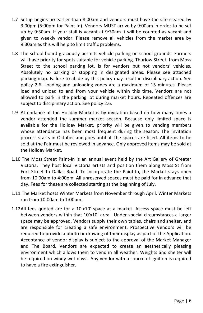- 1.7 Setup begins no earlier than 8:00am and vendors must have the site cleared by 3:00pm (5:00pm for Paint-In). Vendors MUST arrive by 9:00am in order to be set up by 9:30am. If your stall is vacant at 9:30am it will be counted as vacant and given to weekly vendor. Please remove all vehicles from the market area by 9:30am as this will help to limit traffic problems.
- 1.8 The school board graciously permits vehicle parking on school grounds. Farmers will have priority for spots suitable for vehicle parking. Thurlow Street, from Moss Street to the school parking lot, is for vendors but not vendors' vehicles. Absolutely no parking or stopping in designated areas. Please see attached parking map. Failure to abide by this policy may result in disciplinary action. See policy 2.6. Loading and unloading zones are a maximum of 15 minutes. Please load and unload to and from your vehicle within this time. Vendors are not allowed to park in the parking lot during market hours. Repeated offences are subject to disciplinary action. See policy 2.6.
- 1.9 Attendance at the Holiday Market is by invitation based on how many times a vendor attended the summer market season. Because only limited space is available for the Holiday Market, priority will be given to vending members whose attendance has been most frequent during the season. The invitation process starts in October and goes until all the spaces are filled. All items to be sold at the Fair must be reviewed in advance. Only approved items may be sold at the Holiday Market.
- 1.10 The Moss Street Paint-In is an annual event held by the Art Gallery of Greater Victoria. They host local Victoria artists and position them along Moss St from Fort Street to Dallas Road. To incorporate the Paint-In, the Market stays open from 10:00am to 4:00pm. All unreserved spaces must be paid for in advance that day. Fees for these are collected starting at the beginning of July.
- 1.11 The Market hosts Winter Markets from November through April. Winter Markets run from 10:00am to 1:00pm.
- 1.12All fees quoted are for a 10'x10' space at a market. Access space must be left between vendors within that 10'x10' area. Under special circumstances a larger space may be approved. Vendors supply their own tables, chairs and shelter, and are responsible for creating a safe environment. Prospective Vendors will be required to provide a photo or drawing of their display as part of the Application. Acceptance of vendor display is subject to the approval of the Market Manager and The Board. Vendors are expected to create an aesthetically pleasing environment which allows them to vend in all weather. Weights and shelter will be required on windy wet days. Any vendor with a source of ignition is required to have a fire extinguisher.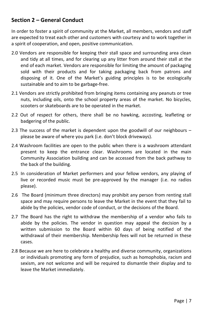#### **Section 2 – General Conduct**

In order to foster a spirit of community at the Market, all members, vendors and staff are expected to treat each other and customers with courtesy and to work together in a spirit of cooperation, and open, positive communication.

- 2.0 Vendors are responsible for keeping their stall space and surrounding area clean and tidy at all times, and for clearing up any litter from around their stall at the end of each market. Vendors are responsible for limiting the amount of packaging sold with their products and for taking packaging back from patrons and disposing of it. One of the Market's guiding principles is to be ecologically sustainable and to aim to be garbage-free.
- 2.1 Vendors are strictly prohibited from bringing items containing any peanuts or tree nuts, including oils, onto the school property areas of the market. No bicycles, scooters or skateboards are to be operated in the market.
- 2.2 Out of respect for others, there shall be no hawking, accosting, leafleting or badgering of the public.
- 2.3 The success of the market is dependent upon the goodwill of our neighbours please be aware of where you park (i.e. don't block driveways).
- 2.4 Washroom facilities are open to the public when there is a washroom attendant present to keep the entrance clear. Washrooms are located in the main Community Association building and can be accessed from the back pathway to the back of the building.
- 2.5 In consideration of Market performers and your fellow vendors, any playing of live or recorded music must be pre-approved by the manager (i.e. no radios please).
- 2.6 The Board (minimum three directors) may prohibit any person from renting stall space and may require persons to leave the Market in the event that they fail to abide by the policies, vendor code of conduct, or the decisions of the Board.
- 2.7 The Board has the right to withdraw the membership of a vendor who fails to abide by the policies. The vendor in question may appeal the decision by a written submission to the Board within 60 days of being notified of the withdrawal of their membership. Membership fees will not be returned in these cases.
- 2.8 Because we are here to celebrate a healthy and diverse community, organizations or individuals promoting any form of prejudice, such as homophobia, racism and sexism, are not welcome and will be required to dismantle their display and to leave the Market immediately.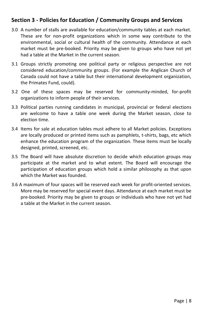#### **Section 3 - Policies for Education / Community Groups and Services**

- 3.0 A number of stalls are available for education/community tables at each market. These are for non-profit organizations which in some way contribute to the environmental, social or cultural health of the community. Attendance at each market must be pre-booked. Priority may be given to groups who have not yet had a table at the Market in the current season.
- 3.1 Groups strictly promoting one political party or religious perspective are not considered education/community groups. (For example the Anglican Church of Canada could not have a table but their international development organization, the Primates Fund, could).
- 3.2 One of these spaces may be reserved for community-minded, for-profit organizations to inform people of their services.
- 3.3 Political parties running candidates in municipal, provincial or federal elections are welcome to have a table one week during the Market season, close to election time.
- 3.4 Items for sale at education tables must adhere to all Market policies. Exceptions are locally produced or printed items such as pamphlets, t-shirts, bags, etc which enhance the education program of the organization. These items must be locally designed, printed, screened, etc.
- 3.5 The Board will have absolute discretion to decide which education groups may participate at the market and to what extent. The Board will encourage the participation of education groups which hold a similar philosophy as that upon which the Market was founded.
- 3.6 A maximum of four spaces will be reserved each week for profit-oriented services. More may be reserved for special event days. Attendance at each market must be pre-booked. Priority may be given to groups or individuals who have not yet had a table at the Market in the current season.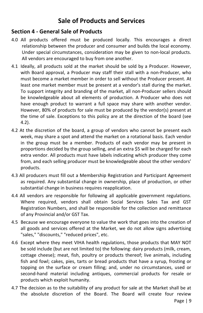## **Sale of Products and Services**

#### **Section 4 - General Sale of Products**

- 4.0 All products offered must be produced locally. This encourages a direct relationship between the producer and consumer and builds the local economy. Under special circumstances, consideration may be given to non-local products. All vendors are encouraged to buy from one another.
- 4.1 Ideally, all products sold at the market should be sold by a Producer. However, with Board approval, a Producer may staff their stall with a non-Producer, who must become a market member in order to sell without the Producer present. At least one market member must be present at a vendor's stall during the market. To support integrity and branding of the market, all non-Producer sellers should be knowledgeable about all elements of production. A Producer who does not have enough product to warrant a full space may share with another vendor. However, 80% of products for sale must be produced by the vendor(s) present at the time of sale. Exceptions to this policy are at the direction of the board (see 4.2).
- 4.2 At the discretion of the board, a group of vendors who cannot be present each week, may share a spot and attend the market on a rotational basis. Each vendor in the group must be a member. Products of each vendor may be present in proportions decided by the group selling, and an extra \$5 will be charged for each extra vendor. All products must have labels indicating which producer they come from, and each selling producer must be knowledgeable about the other vendors' products.
- 4.3 All producers must fill out a Membership Registration and Participant Agreement as required. Any substantial change in ownership, place of production, or other substantial change in business requires reapplication.
- 4.4 All vendors are responsible for following all applicable government regulations. Where required, vendors shall obtain Social Services Sales Tax and GST Registration Numbers, and shall be responsible for the collection and remittance of any Provincial and/or GST Tax.
- 4.5 Because we encourage everyone to value the work that goes into the creation of all goods and services offered at the Market, we do not allow signs advertising "sales," "discounts," "reduced prices", etc.
- 4.6 Except where they meet VIHA health regulations, those products that MAY NOT be sold include (but are not limited to) the following: dairy products (milk, cream, cottage cheese); meat, fish, poultry or products thereof; live animals, including fish and fowl; cakes, pies, tarts or bread products that have a syrup, frosting or topping on the surface or cream filling; and, under no circumstances, used or second-hand material including antiques, commercial products for resale or products which exploit humanity.
- 4.7 The decision as to the suitability of any product for sale at the Market shall be at the absolute discretion of the Board. The Board will create four review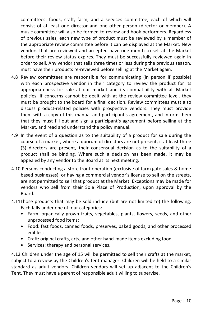committees: foods, craft, farm, and a services committee, each of which will consist of at least one director and one other person (director or member). A music committee will also be formed to review and book performers. Regardless of previous sales, each new type of product must be reviewed by a member of the appropriate review committee before it can be displayed at the Market. New vendors that are reviewed and accepted have one month to sell at the Market before their review status expires. They must be successfully reviewed again in order to sell. Any vendor that sells three times or less during the previous season, must have their products re-reviewed before selling at the Market again.

- 4.8 Review committees are responsible for communicating (in person if possible) with each prospective vendor in their category to review the product for its appropriateness for sale at our market and its compatibility with all Market policies. If concerns cannot be dealt with at the review committee level, they must be brought to the board for a final decision. Review committees must also discuss product-related policies with prospective vendors. They must provide them with a copy of this manual and participant's agreement, and inform them that they must fill out and sign a participant's agreement before selling at the Market, and read and understand the policy manual.
- 4.9 In the event of a question as to the suitability of a product for sale during the course of a market, where a quorum of directors are not present, if at least three (3) directors are present, their consensual decision as to the suitability of a product shall be binding. Where such a decision has been made, it may be appealed by any vendor to the Board at its next meeting.
- 4.10 Persons conducting a store front operation (exclusive of farm gate sales & home based businesses), or having a commercial vendor's license to sell on the streets, are not permitted to sell that product at the Market. Exceptions may be made for vendors-who sell from their Sole Place of Production, upon approval by the Board.
- 4.11Those products that may be sold include (but are not limited to) the following. Each falls under one of four categories:
	- Farm: organically grown fruits, vegetables, plants, flowers, seeds, and other unprocessed food items;
	- Food: fast foods, canned foods, preserves, baked goods, and other processed edibles;
	- Craft: original crafts, arts, and other hand-made items excluding food.
	- Services: therapy and personal services.

4.12 Children under the age of 15 will be permitted to sell their crafts at the market, subject to a review by the Children's tent manager. Children will be held to a similar standard as adult vendors. Children vendors will set up adjacent to the Children's Tent. They must have a parent of responsible adult willing to supervise.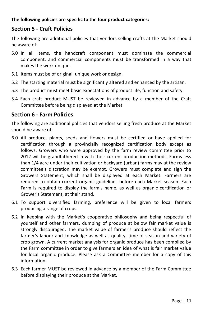#### **Section 5 - Craft Policies**

The following are additional policies that vendors selling crafts at the Market should be aware of:

- 5.0 In all items, the handcraft component must dominate the commercial component, and commercial components must be transformed in a way that makes the work unique.
- 5.1 Items must be of original, unique work or design.
- 5.2 The starting material must be significantly altered and enhanced by the artisan.
- 5.3 The product must meet basic expectations of product life, function and safety.
- 5.4 Each craft product MUST be reviewed in advance by a member of the Craft Committee before being displayed at the Market.

#### **Section 6 - Farm Policies**

The following are additional policies that vendors selling fresh produce at the Market should be aware of:

- 6.0 All produce, plants, seeds and flowers must be certified or have applied for certification through a provincially recognized certification body except as follows. Growers who were approved by the farm review committee prior to 2012 will be grandfathered in with their current production methods. Farms less than 1/4 acre under their cultivation or backyard (urban) farms may at the review committee's discretion may be exempt. Growers must complete and sign the Growers Statement, which shall be displayed at each Market. Farmers are required to obtain current organic guidelines before each Market season. Each Farm is required to display the farm's name, as well as organic certification or Grower's Statement, at their stand.
- 6.1 To support diversified farming, preference will be given to local farmers producing a range of crops.
- 6.2 In keeping with the Market's cooperative philosophy and being respectful of yourself and other farmers, dumping of produce at below fair market value is strongly discouraged. The market value of farmer's produce should reflect the farmer's labour and knowledge as well as quality, time of season and variety of crop grown. A current market analysis for organic produce has been compiled by the Farm committee in order to give farmers an idea of what is fair market value for local organic produce. Please ask a Committee member for a copy of this information.
- 6.3 Each farmer MUST be reviewed in advance by a member of the Farm Committee before displaying their produce at the Market.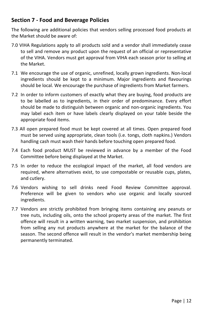#### **Section 7 - Food and Beverage Policies**

The following are additional policies that vendors selling processed food products at the Market should be aware of:

- 7.0 VIHA Regulations apply to all products sold and a vendor shall immediately cease to sell and remove any product upon the request of an official or representative of the VIHA. Vendors must get approval from VIHA each season prior to selling at the Market.
- 7.1 We encourage the use of organic, unrefined, locally grown ingredients. Non-local ingredients should be kept to a minimum. Major ingredients and flavourings should be local. We encourage the purchase of ingredients from Market farmers.
- 7.2 In order to inform customers of exactly what they are buying, food products are to be labelled as to ingredients, in their order of predominance. Every effort should be made to distinguish between organic and non-organic ingredients. You may label each item or have labels clearly displayed on your table beside the appropriate food items.
- 7.3 All open prepared food must be kept covered at all times. Open prepared food must be served using appropriate, clean tools (i.e. tongs, cloth napkins.) Vendors handling cash must wash their hands before touching open prepared food.
- 7.4 Each food product MUST be reviewed in advance by a member of the Food Committee before being displayed at the Market.
- 7.5 In order to reduce the ecological impact of the market, all food vendors are required, where alternatives exist, to use compostable or reusable cups, plates, and cutlery.
- 7.6 Vendors wishing to sell drinks need Food Review Committee approval. Preference will be given to vendors who use organic and locally sourced ingredients.
- 7.7 Vendors are strictly prohibited from bringing items containing any peanuts or tree nuts, including oils, onto the school property areas of the market. The first offence will result in a written warning, two market suspension, and prohibition from selling any nut products anywhere at the market for the balance of the season. The second offence will result in the vendor's market membership being permanently terminated.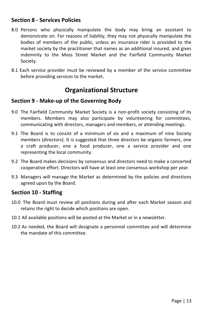#### **Section 8 - Services Policies**

- 8.0 Persons who physically manipulate the body may bring an assistant to demonstrate on. For reasons of liability, they may not physically manipulate the bodies of members of the public, unless an insurance rider is provided to the market society by the practitioner that names as an additional insured, and gives indemnity to the Moss Street Market and the Fairfield Community Market Society.
- 8.1 Each service provider must be reviewed by a member of the service committee before providing services to the market.

## **Organizational Structure**

#### **Section 9 - Make-up of the Governing Body**

- 9.0 The Fairfield Community Market Society is a non-profit society consisting of its members. Members may also participate by volunteering for committees, communicating with directors, managers and members, or attending meetings.
- 9.1 The Board is to consist of a minimum of six and a maximum of nine Society members (directors). It is suggested that three directors be organic farmers, one a craft producer, one a food producer, one a service provider and one representing the local community.
- 9.2 The Board makes decisions by consensus and directors need to make a concerted cooperative effort. Directors will have at least one consensus workshop per year.
- 9.3 Managers will manage the Market as determined by the policies and directions agreed upon by the Board.

#### **Section 10 - Staffing**

- 10.0 The Board must review all positions during and after each Market season and retains the right to decide which positions are open.
- 10.1 All available positions will be posted at the Market or in a newsletter.
- 10.2 As needed, the Board will designate a personnel committee and will determine the mandate of this committee.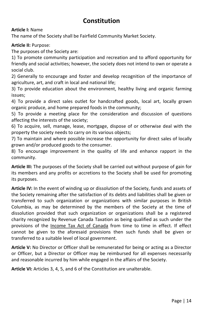## **Constitution**

**Article I:** Name

The name of the Society shall be Fairfield Community Market Society.

**Article II:** Purpose:

The purposes of the Society are:

1) To promote community participation and recreation and to afford opportunity for friendly and social activities; however, the society does not intend to own or operate a social club.

2) Generally to encourage and foster and develop recognition of the importance of agriculture, art, and craft in local and national life;

3) To provide education about the environment, healthy living and organic farming issues;

4) To provide a direct sales outlet for handcrafted goods, local art, locally grown organic produce, and home prepared foods in the community;

5) To provide a meeting place for the consideration and discussion of questions affecting the interests of the society;

6) To acquire, sell, manage, lease, mortgage, dispose of or otherwise deal with the property the society needs to carry on its various objects;

7) To maintain and where possible increase the opportunity for direct sales of locally grown and/or produced goods to the consumer.

8) To encourage improvement in the quality of life and enhance rapport in the community.

**Article III:** The purposes of the Society shall be carried out without purpose of gain for its members and any profits or accretions to the Society shall be used for promoting its purposes.

**Article IV:** In the event of winding up or dissolution of the Society, funds and assets of the Society remaining after the satisfaction of its debts and liabilities shall be given or transferred to such organization or organizations with similar purposes in British Columbia, as may be determined by the members of the Society at the time of dissolution provided that such organization or organizations shall be a registered charity recognized by Revenue Canada Taxation as being qualified as such under the provisions of the Income Tax Act of Canada from time to time in effect. If effect cannot be given to the aforesaid provisions then such funds shall be given or transferred to a suitable level of local government.

**Article V:** No Director or Officer shall be remunerated for being or acting as a Director or Officer, but a Director or Officer may be reimbursed for all expenses necessarily and reasonable incurred by him while engaged in the affairs of the Society.

**Article VI:** Articles 3, 4, 5, and 6 of the Constitution are unalterable.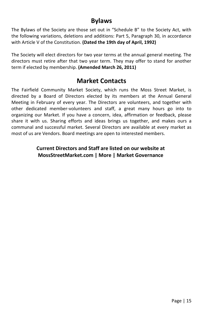## **Bylaws**

The Bylaws of the Society are those set out in "Schedule B" to the Society Act, with the following variations, deletions and additions: Part 5, Paragraph 30, in accordance with Article V of the Constitution. **(Dated the 19th day of April, 1992)** 

The Society will elect directors for two year terms at the annual general meeting. The directors must retire after that two year term. They may offer to stand for another term if elected by membership. **(Amended March 26, 2011)**

## **Market Contacts**

The Fairfield Community Market Society, which runs the Moss Street Market, is directed by a Board of Directors elected by its members at the Annual General Meeting in February of every year. The Directors are volunteers, and together with other dedicated member-volunteers and staff, a great many hours go into to organizing our Market. If you have a concern, idea, affirmation or feedback, please share it with us. Sharing efforts and ideas brings us together, and makes ours a communal and successful market. Several Directors are available at every market as most of us are Vendors. Board meetings are open to interested members.

#### **Current Directors and Staff are listed on our website at MossStreetMarket.com | More | Market Governance**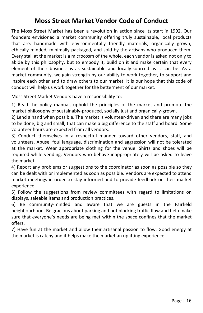## **Moss Street Market Vendor Code of Conduct**

The Moss Street Market has been a revolution in action since its start in 1992. Our founders envisioned a market community offering truly sustainable, local products that are: handmade with environmentally friendly materials, organically grown, ethically minded, minimally packaged, and sold by the artisans who produced them. Every stall at the market is a microcosm of the whole, each vendor is asked not only to abide by this philosophy, but to embody it, build on it and make certain that every element of their business is as sustainable and locally-sourced as it can be. As a market community, we gain strength by our ability to work together, to support and inspire each other and to draw others to our market. It is our hope that this code of conduct will help us work together for the betterment of our market.

Moss Street Market Vendors have a responsibility to:

1) Read the policy manual, uphold the principles of the market and promote the market philosophy of sustainably-produced, socially just and organically-grown.

2) Lend a hand when possible. The market is volunteer-driven and there are many jobs to be done, big and small, that can make a big difference to the staff and board. Some volunteer hours are expected from all vendors.

3) Conduct themselves in a respectful manner toward other vendors, staff, and volunteers. Abuse, foul language, discrimination and aggression will not be tolerated at the market. Wear appropriate clothing for the venue. Shirts and shoes will be required while vending. Vendors who behave inappropriately will be asked to leave the market.

4) Report any problems or suggestions to the coordinator as soon as possible so they can be dealt with or implemented as soon as possible. Vendors are expected to attend market meetings in order to stay informed and to provide feedback on their market experience.

5) Follow the suggestions from review committees with regard to limitations on displays, saleable items and production practices.

6) Be community-minded and aware that we are guests in the Fairfield neighbourhood. Be gracious about parking and not blocking traffic flow and help make sure that everyone's needs are being met within the space confines that the market offers.

7) Have fun at the market and allow their artisanal passion to flow. Good energy at the market is catchy and it helps make the market an uplifting experience.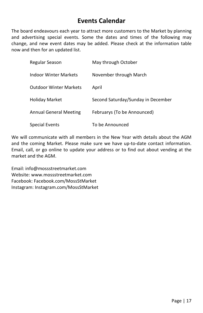## **Events Calendar**

The board endeavours each year to attract more customers to the Market by planning and advertising special events. Some the dates and times of the following may change, and new event dates may be added. Please check at the information table now and then for an updated list.

| Regular Season                | May through October                |
|-------------------------------|------------------------------------|
| Indoor Winter Markets         | November through March             |
| <b>Outdoor Winter Markets</b> | April                              |
| Holiday Market                | Second Saturday/Sunday in December |
| <b>Annual General Meeting</b> | Februarys (To be Announced)        |
| Special Events                | To be Announced                    |

We will communicate with all members in the New Year with details about the AGM and the coming Market. Please make sure we have up-to-date contact information. Email, call, or go online to update your address or to find out about vending at the market and the AGM.

Email: info@mossstreetmarket.com Website: www.mossstreetmarket.com Facebook: Facebook.com/MossStMarket Instagram: Instagram.com/MossStMarket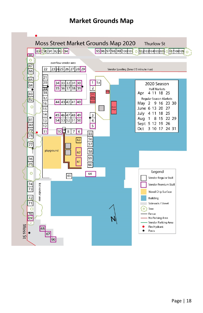## **Market Grounds Map**